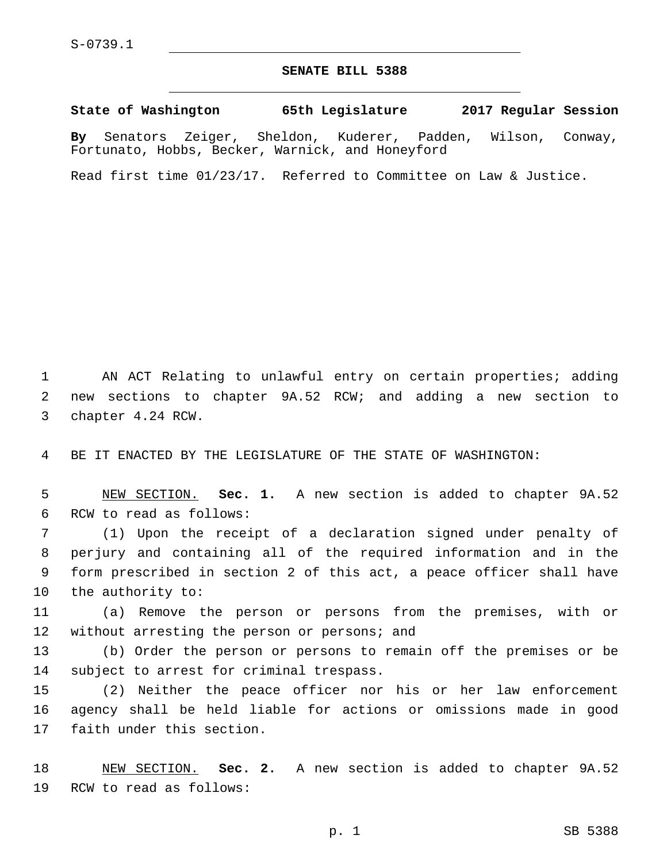## **SENATE BILL 5388**

**State of Washington 65th Legislature 2017 Regular Session By** Senators Zeiger, Sheldon, Kuderer, Padden, Wilson, Conway,

Read first time 01/23/17. Referred to Committee on Law & Justice.

Fortunato, Hobbs, Becker, Warnick, and Honeyford

1 AN ACT Relating to unlawful entry on certain properties; adding 2 new sections to chapter 9A.52 RCW; and adding a new section to 3 chapter 4.24 RCW.

4 BE IT ENACTED BY THE LEGISLATURE OF THE STATE OF WASHINGTON:

5 NEW SECTION. **Sec. 1.** A new section is added to chapter 9A.52 6 RCW to read as follows:

 (1) Upon the receipt of a declaration signed under penalty of perjury and containing all of the required information and in the form prescribed in section 2 of this act, a peace officer shall have 10 the authority to:

11 (a) Remove the person or persons from the premises, with or 12 without arresting the person or persons; and

13 (b) Order the person or persons to remain off the premises or be 14 subject to arrest for criminal trespass.

15 (2) Neither the peace officer nor his or her law enforcement 16 agency shall be held liable for actions or omissions made in good 17 faith under this section.

18 NEW SECTION. **Sec. 2.** A new section is added to chapter 9A.52 19 RCW to read as follows: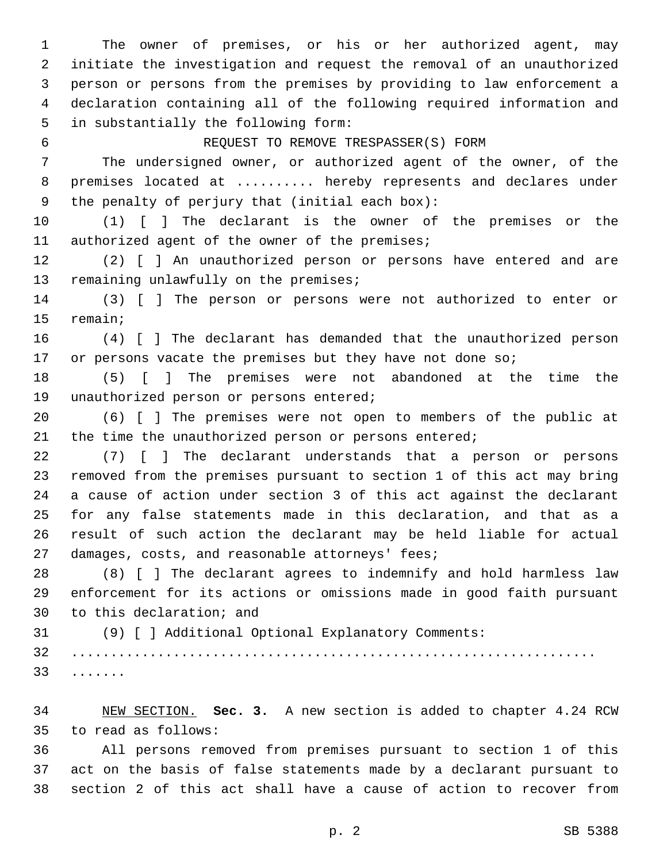The owner of premises, or his or her authorized agent, may initiate the investigation and request the removal of an unauthorized person or persons from the premises by providing to law enforcement a declaration containing all of the following required information and 5 in substantially the following form: REQUEST TO REMOVE TRESPASSER(S) FORM The undersigned owner, or authorized agent of the owner, of the 8 premises located at ......... hereby represents and declares under 9 the penalty of perjury that (initial each box): (1) [ ] The declarant is the owner of the premises or the 11 authorized agent of the owner of the premises; (2) [ ] An unauthorized person or persons have entered and are 13 remaining unlawfully on the premises; (3) [ ] The person or persons were not authorized to enter or 15 remain; (4) [ ] The declarant has demanded that the unauthorized person 17 or persons vacate the premises but they have not done so; (5) [ ] The premises were not abandoned at the time the 19 unauthorized person or persons entered; (6) [ ] The premises were not open to members of the public at 21 the time the unauthorized person or persons entered; (7) [ ] The declarant understands that a person or persons removed from the premises pursuant to section 1 of this act may bring a cause of action under section 3 of this act against the declarant for any false statements made in this declaration, and that as a result of such action the declarant may be held liable for actual 27 damages, costs, and reasonable attorneys' fees; (8) [ ] The declarant agrees to indemnify and hold harmless law enforcement for its actions or omissions made in good faith pursuant 30 to this declaration; and (9) [ ] Additional Optional Explanatory Comments: ................................................................... .......33 NEW SECTION. **Sec. 3.** A new section is added to chapter 4.24 RCW

to read as follows:35

 All persons removed from premises pursuant to section 1 of this act on the basis of false statements made by a declarant pursuant to section 2 of this act shall have a cause of action to recover from